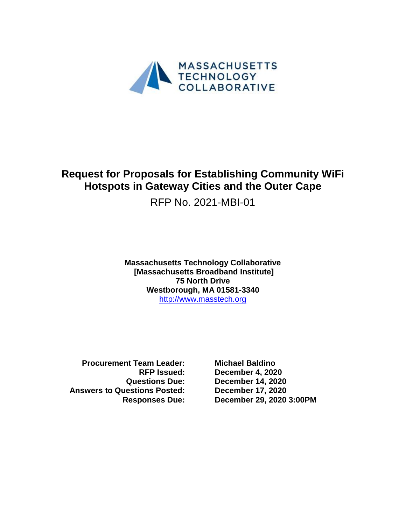

# **Request for Proposals for Establishing Community WiFi Hotspots in Gateway Cities and the Outer Cape**

RFP No. 2021-MBI-01

**Massachusetts Technology Collaborative [Massachusetts Broadband Institute] 75 North Drive Westborough, MA 01581-3340** [http://www.masstech.org](http://www.masstech.org/)

**Procurement Team Leader: Michael Baldino Answers to Questions Posted: December 17, 2020**

**RFP Issued: December 4, 2020 Questions Due: December 14, 2020 Responses Due: December 29, 2020 3:00PM**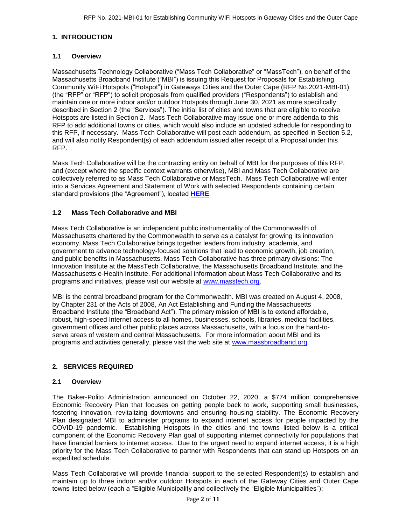# **1. INTRODUCTION**

# **1.1 Overview**

Massachusetts Technology Collaborative ("Mass Tech Collaborative" or "MassTech"), on behalf of the Massachusetts Broadband Institute ("MBI") is issuing this Request for Proposals for Establishing Community WiFi Hotspots ("Hotspot") in Gateways Cities and the Outer Cape (RFP No.2021-MBI-01) (the "RFP" or "RFP") to solicit proposals from qualified providers ("Respondents") to establish and maintain one or more indoor and/or outdoor Hotspots through June 30, 2021 as more specifically described in Section 2 (the "Services"). The initial list of cities and towns that are eligible to receive Hotspots are listed in Section 2. Mass Tech Collaborative may issue one or more addenda to this RFP to add additional towns or cities, which would also include an updated schedule for responding to this RFP, if necessary. Mass Tech Collaborative will post each addendum, as specified in Section 5.2, and will also notify Respondent(s) of each addendum issued after receipt of a Proposal under this RFP.

Mass Tech Collaborative will be the contracting entity on behalf of MBI for the purposes of this RFP, and (except where the specific context warrants otherwise), MBI and Mass Tech Collaborative are collectively referred to as Mass Tech Collaborative or MassTech. Mass Tech Collaborative will enter into a Services Agreement and Statement of Work with selected Respondents containing certain standard provisions (the "Agreement"), located **[HERE](https://masstech.org/sites/mtc/files/documents/Legal/Services%20Agreement%20and%20SOW%20Final%20with%20watermark.pdf)**.

# **1.2 Mass Tech Collaborative and MBI**

Innovation Institute at the MassTech Collaborative, the Massachusetts Broadband Institute, and the Mass Tech Collaborative is an independent public instrumentality of the Commonwealth of Massachusetts chartered by the Commonwealth to serve as a catalyst for growing its innovation economy. Mass Tech Collaborative brings together leaders from industry, academia, and government to advance technology-focused solutions that lead to economic growth, job creation, and public benefits in Massachusetts. Mass Tech Collaborative has three primary divisions: The Massachusetts e-Health Institute. For additional information about Mass Tech Collaborative and its programs and initiatives, please visit our website at [www.masstech.org.](http://www.masstech.org/)

MBI is the central broadband program for the Commonwealth. MBI was created on August 4, 2008, by Chapter 231 of the Acts of 2008, An Act Establishing and Funding the Massachusetts Broadband Institute (the "Broadband Act"). The primary mission of MBI is to extend affordable, robust, high-speed Internet access to all homes, businesses, schools, libraries, medical facilities, government offices and other public places across Massachusetts, with a focus on the hard-toserve areas of western and central Massachusetts. For more information about MBI and its programs and activities generally, please visit the web site at [www.massbroadband.org.](http://www.massbroadband.org/)

# **2. SERVICES REQUIRED**

# **2.1 Overview**

The Baker-Polito Administration announced on October 22, 2020, a \$774 million comprehensive Economic Recovery Plan that focuses on getting people back to work, supporting small businesses, fostering innovation, revitalizing downtowns and ensuring housing stability. The Economic Recovery Plan designated MBI to administer programs to expand internet access for people impacted by the COVID-19 pandemic. Establishing Hotspots in the cities and the towns listed below is a critical component of the Economic Recovery Plan goal of supporting internet connectivity for populations that have financial barriers to internet access. Due to the urgent need to expand internet access, it is a high priority for the Mass Tech Collaborative to partner with Respondents that can stand up Hotspots on an expedited schedule.

Mass Tech Collaborative will provide financial support to the selected Respondent(s) to establish and maintain up to three indoor and/or outdoor Hotspots in each of the Gateway Cities and Outer Cape towns listed below (each a "Eligible Municipality and collectively the "Eligible Municipalities"):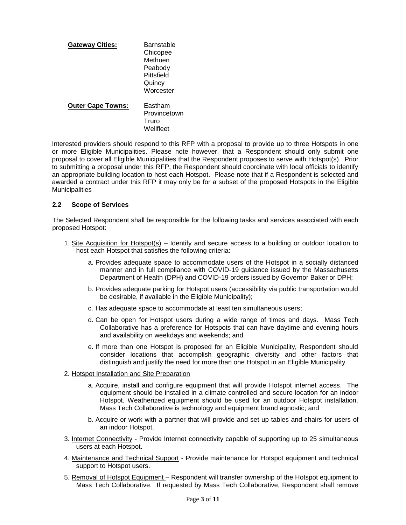| <b>Gateway Cities:</b>   | <b>Barnstable</b><br>Chicopee<br>Methuen<br>Peabody<br>Pittsfield<br>Quincy<br>Worcester |
|--------------------------|------------------------------------------------------------------------------------------|
| <b>Outer Cape Towns:</b> | Eastham<br>Provincetown<br>Truro<br>Wellfleet                                            |

Interested providers should respond to this RFP with a proposal to provide up to three Hotspots in one or more Eligible Municipalities. Please note however, that a Respondent should only submit one proposal to cover all Eligible Municipalities that the Respondent proposes to serve with Hotspot(s). Prior to submitting a proposal under this RFP, the Respondent should coordinate with local officials to identify an appropriate building location to host each Hotspot. Please note that if a Respondent is selected and awarded a contract under this RFP it may only be for a subset of the proposed Hotspots in the Eligible **Municipalities** 

#### **2.2 Scope of Services**

The Selected Respondent shall be responsible for the following tasks and services associated with each proposed Hotspot:

- 1. Site Acquisition for Hotspot(s) Identify and secure access to a building or outdoor location to host each Hotspot that satisfies the following criteria:
	- a. Provides adequate space to accommodate users of the Hotspot in a socially distanced manner and in full compliance with COVID-19 guidance issued by the Massachusetts Department of Health (DPH) and COVID-19 orders issued by Governor Baker or DPH;
	- b. Provides adequate parking for Hotspot users (accessibility via public transportation would be desirable, if available in the Eligible Municipality);
	- c. Has adequate space to accommodate at least ten simultaneous users;
	- d. Can be open for Hotspot users during a wide range of times and days. Mass Tech Collaborative has a preference for Hotspots that can have daytime and evening hours and availability on weekdays and weekends; and
	- e. If more than one Hotspot is proposed for an Eligible Municipality, Respondent should consider locations that accomplish geographic diversity and other factors that distinguish and justify the need for more than one Hotspot in an Eligible Municipality.
- 2. Hotspot Installation and Site Preparation
	- a. Acquire, install and configure equipment that will provide Hotspot internet access. The equipment should be installed in a climate controlled and secure location for an indoor Hotspot. Weatherized equipment should be used for an outdoor Hotspot installation. Mass Tech Collaborative is technology and equipment brand agnostic; and
	- b. Acquire or work with a partner that will provide and set up tables and chairs for users of an indoor Hotspot.
- 3. Internet Connectivity Provide Internet connectivity capable of supporting up to 25 simultaneous users at each Hotspot.
- 4. Maintenance and Technical Support Provide maintenance for Hotspot equipment and technical support to Hotspot users.
- 5. Removal of Hotspot Equipment Respondent will transfer ownership of the Hotspot equipment to Mass Tech Collaborative. If requested by Mass Tech Collaborative, Respondent shall remove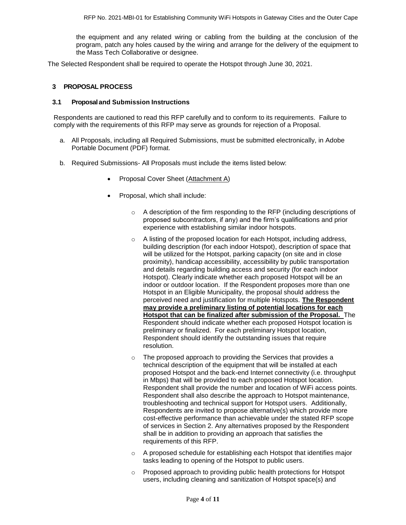the equipment and any related wiring or cabling from the building at the conclusion of the program, patch any holes caused by the wiring and arrange for the delivery of the equipment to the Mass Tech Collaborative or designee.

The Selected Respondent shall be required to operate the Hotspot through June 30, 2021.

#### **3 PROPOSAL PROCESS**

#### **3.1 Proposaland Submission Instructions**

Respondents are cautioned to read this RFP carefully and to conform to its requirements. Failure to comply with the requirements of this RFP may serve as grounds for rejection of a Proposal.

- a. All Proposals, including all Required Submissions, must be submitted electronically, in Adobe Portable Document (PDF) format.
- b. Required Submissions- All Proposals must include the items listed below:
	- Proposal Cover Sheet (Attachment A)
	- Proposal, which shall include:
		- o A description of the firm responding to the RFP (including descriptions of proposed subcontractors, if any) and the firm's qualifications and prior experience with establishing similar indoor hotspots.
		- proximity), handicap accessibility, accessibility by public transportation o A listing of the proposed location for each Hotspot, including address, building description (for each indoor Hotspot), description of space that will be utilized for the Hotspot, parking capacity (on site and in close and details regarding building access and security (for each indoor Hotspot). Clearly indicate whether each proposed Hotspot will be an indoor or outdoor location. If the Respondent proposes more than one Hotspot in an Eligible Municipality, the proposal should address the perceived need and justification for multiple Hotspots. **The Respondent may provide a preliminary listing of potential locations for each Hotspot that can be finalized after submission of the Proposal.** The Respondent should indicate whether each proposed Hotspot location is preliminary or finalized. For each preliminary Hotspot location, Respondent should identify the outstanding issues that require resolution.
		- o The proposed approach to providing the Services that provides a technical description of the equipment that will be installed at each proposed Hotspot and the back-end Internet connectivity (i.e. throughput in Mbps) that will be provided to each proposed Hotspot location. Respondent shall provide the number and location of WiFi access points. Respondent shall also describe the approach to Hotspot maintenance, troubleshooting and technical support for Hotspot users. Additionally, Respondents are invited to propose alternative(s) which provide more cost-effective performance than achievable under the stated RFP scope of services in Section 2. Any alternatives proposed by the Respondent shall be in addition to providing an approach that satisfies the requirements of this RFP.
		- o A proposed schedule for establishing each Hotspot that identifies major tasks leading to opening of the Hotspot to public users.
		- $\circ$  Proposed approach to providing public health protections for Hotspot users, including cleaning and sanitization of Hotspot space(s) and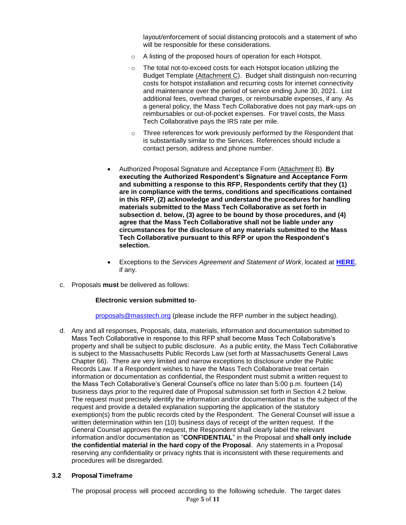layout/enforcement of social distancing protocols and a statement of who will be responsible for these considerations.

- o A listing of the proposed hours of operation for each Hotspot.
- o The total not-to-exceed costs for each Hotspot location utilizing the Budget Template (Attachment C). Budget shall distinguish non-recurring costs for hotspot installation and recurring costs for internet connectivity and maintenance over the period of service ending June 30, 2021. List additional fees, overhead charges, or reimbursable expenses, if any. As a general policy, the Mass Tech Collaborative does not pay mark-ups on reimbursables or out-of-pocket expenses. For travel costs, the Mass Tech Collaborative pays the IRS rate per mile.
- $\circ$  Three references for work previously performed by the Respondent that is substantially similar to the Services. References should include a contact person, address and phone number.
- Authorized Proposal Signature and Acceptance Form (Attachment B). **By executing the Authorized Respondent's Signature and Acceptance Form and submitting a response to this RFP, Respondents certify that they (1) are in compliance with the terms, conditions and specifications contained in this RFP, (2) acknowledge and understand the procedures for handling materials submitted to the Mass Tech Collaborative as set forth in subsection d. below, (3) agree to be bound by those procedures, and (4) agree that the Mass Tech Collaborative shall not be liable under any circumstances for the disclosure of any materials submitted to the Mass Tech Collaborative pursuant to this RFP or upon the Respondent's selection.**
- **Exceptions to the** *Services Agreement and Statement of Work***, located at [HERE](https://masstech.org/sites/mtc/files/documents/Legal/Services%20Agreement%20and%20SOW%20Final%20with%20watermark.pdf),** if any.
- c. Proposals **must** be delivered as follows:

#### **Electronic version submitted to**-

[proposals@masstech.org](../../TEMPLATES/proposals@masstech.org) (please include the RFP number in the subject heading).

d. Any and all responses, Proposals, data, materials, information and documentation submitted to Mass Tech Collaborative in response to this RFP shall become Mass Tech Collaborative's property and shall be subject to public disclosure. As a public entity, the Mass Tech Collaborative is subject to the Massachusetts Public Records Law (set forth at Massachusetts General Laws Chapter 66). There are very limited and narrow exceptions to disclosure under the Public Records Law. If a Respondent wishes to have the Mass Tech Collaborative treat certain information or documentation as confidential, the Respondent must submit a written request to the Mass Tech Collaborative's General Counsel's office no later than 5:00 p.m. fourteen (14) business days prior to the required date of Proposal submission set forth in Section 4.2 below. The request must precisely identify the information and/or documentation that is the subject of the request and provide a detailed explanation supporting the application of the statutory exemption(s) from the public records cited by the Respondent. The General Counsel will issue a written determination within ten (10) business days of receipt of the written request. If the General Counsel approves the request, the Respondent shall clearly label the relevant information and/or documentation as "**CONFIDENTIAL**" in the Proposal and **shall only include the confidential material in the hard copy of the Proposal**. Any statements in a Proposal reserving any confidentiality or privacy rights that is inconsistent with these requirements and procedures will be disregarded.

#### **3.2 Proposal Timeframe**

Page **5** of **11** The proposal process will proceed according to the following schedule. The target dates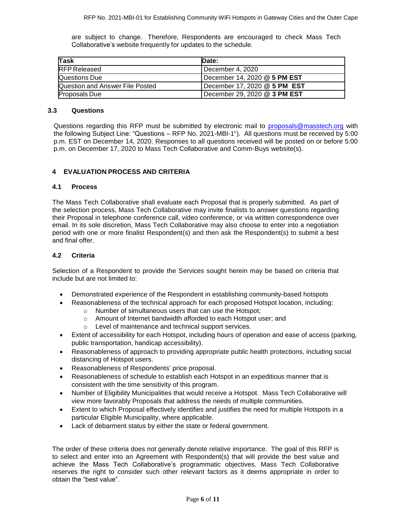are subject to change. Therefore, Respondents are encouraged to check Mass Tech Collaborative's website frequently for updates to the schedule.

| Task                            | <b>IDate:</b>                |
|---------------------------------|------------------------------|
| <b>RFP Released</b>             | December 4, 2020             |
| Questions Due                   | December 14, 2020 @ 5 PM EST |
| Question and Answer File Posted | December 17, 2020 @ 5 PM EST |
| <b>Proposals Due</b>            | December 29, 2020 @ 3 PM EST |

#### **3.3 Questions**

Questions regarding this RFP must be submitted by electronic mail to [proposals@masstech.org](mailto:proposals@masstech.org) with the following Subject Line: "Questions – RFP No. 2021-MBI-1"). All questions must be received by 5:00 p.m. EST on December 14, 2020. Responses to all questions received will be posted on or before 5:00 p.m. on December 17, 2020 to Mass Tech Collaborative and Comm-Buys website(s).

# **4 EVALUATION PROCESS AND CRITERIA**

#### **4.1 Process**

The Mass Tech Collaborative shall evaluate each Proposal that is properly submitted. As part of the selection process, Mass Tech Collaborative may invite finalists to answer questions regarding their Proposal in telephone conference call, video conference, or via written correspondence over email. In its sole discretion, Mass Tech Collaborative may also choose to enter into a negotiation period with one or more finalist Respondent(s) and then ask the Respondent(s) to submit a best and final offer.

#### **4.2 Criteria**

Selection of a Respondent to provide the Services sought herein may be based on criteria that include but are not limited to:

- Demonstrated experience of the Respondent in establishing community-based hotspots
- Reasonableness of the technical approach for each proposed Hotspot location, including:
	- o Number of simultaneous users that can use the Hotspot;
	- o Amount of Internet bandwidth afforded to each Hotspot user; and
	- o Level of maintenance and technical support services.
- Extent of accessibility for each Hotspot, including hours of operation and ease of access (parking, public transportation, handicap accessibility).
- Reasonableness of approach to providing appropriate public health protections, including social distancing of Hotspot users.
- Reasonableness of Respondents' price proposal.
- Reasonableness of schedule to establish each Hotspot in an expeditious manner that is consistent with the time sensitivity of this program.
- Number of Eligibility Municipalities that would receive a Hotspot. Mass Tech Collaborative will view more favorably Proposals that address the needs of multiple communities.
- Extent to which Proposal effectively identifies and justifies the need for multiple Hotspots in a particular Eligible Municipality, where applicable.
- Lack of debarment status by either the state or federal government.

The order of these criteria does not generally denote relative importance. The goal of this RFP is to select and enter into an Agreement with Respondent(s) that will provide the best value and achieve the Mass Tech Collaborative's programmatic objectives. Mass Tech Collaborative reserves the right to consider such other relevant factors as it deems appropriate in order to obtain the "best value".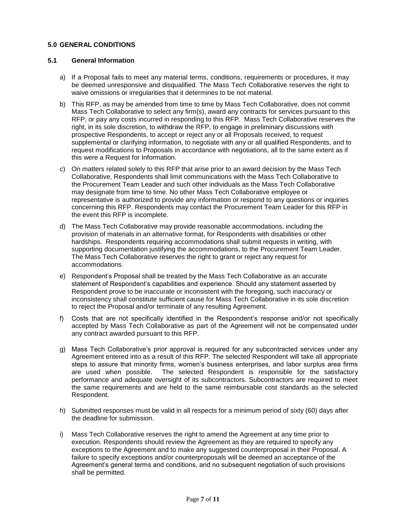# **5.0 GENERAL CONDITIONS**

## **5.1 General Information**

- a) If a Proposal fails to meet any material terms, conditions, requirements or procedures, it may be deemed unresponsive and disqualified. The Mass Tech Collaborative reserves the right to waive omissions or irregularities that it determines to be not material.
- b) This RFP, as may be amended from time to time by Mass Tech Collaborative, does not commit Mass Tech Collaborative to select any firm(s), award any contracts for services pursuant to this RFP, or pay any costs incurred in responding to this RFP. Mass Tech Collaborative reserves the right, in its sole discretion, to withdraw the RFP, to engage in preliminary discussions with prospective Respondents, to accept or reject any or all Proposals received, to request supplemental or clarifying information, to negotiate with any or all qualified Respondents, and to request modifications to Proposals in accordance with negotiations, all to the same extent as if this were a Request for Information.
- c) On matters related solely to this RFP that arise prior to an award decision by the Mass Tech Collaborative, Respondents shall limit communications with the Mass Tech Collaborative to the Procurement Team Leader and such other individuals as the Mass Tech Collaborative may designate from time to time. No other Mass Tech Collaborative employee or representative is authorized to provide any information or respond to any questions or inquiries concerning this RFP. Respondents may contact the Procurement Team Leader for this RFP in the event this RFP is incomplete.
- d) The Mass Tech Collaborative may provide reasonable accommodations, including the provision of materials in an alternative format, for Respondents with disabilities or other hardships. Respondents requiring accommodations shall submit requests in writing, with supporting documentation justifying the accommodations, to the Procurement Team Leader. The Mass Tech Collaborative reserves the right to grant or reject any request for accommodations.
- e) Respondent's Proposal shall be treated by the Mass Tech Collaborative as an accurate statement of Respondent's capabilities and experience. Should any statement asserted by Respondent prove to be inaccurate or inconsistent with the foregoing, such inaccuracy or inconsistency shall constitute sufficient cause for Mass Tech Collaborative in its sole discretion to reject the Proposal and/or terminate of any resulting Agreement.
- f) Costs that are not specifically identified in the Respondent's response and/or not specifically accepted by Mass Tech Collaborative as part of the Agreement will not be compensated under any contract awarded pursuant to this RFP.
- g) Mass Tech Collaborative's prior approval is required for any subcontracted services under any Agreement entered into as a result of this RFP. The selected Respondent will take all appropriate steps to assure that minority firms, women's business enterprises, and labor surplus area firms are used when possible. The selected Respondent is responsible for the satisfactory performance and adequate oversight of its subcontractors. Subcontractors are required to meet the same requirements and are held to the same reimbursable cost standards as the selected Respondent.
- h) Submitted responses must be valid in all respects for a minimum period of sixty (60) days after the deadline for submission.
- i) Mass Tech Collaborative reserves the right to amend the Agreement at any time prior to execution. Respondents should review the Agreement as they are required to specify any exceptions to the Agreement and to make any suggested counterproposal in their Proposal. A failure to specify exceptions and/or counterproposals will be deemed an acceptance of the Agreement's general terms and conditions, and no subsequent negotiation of such provisions shall be permitted.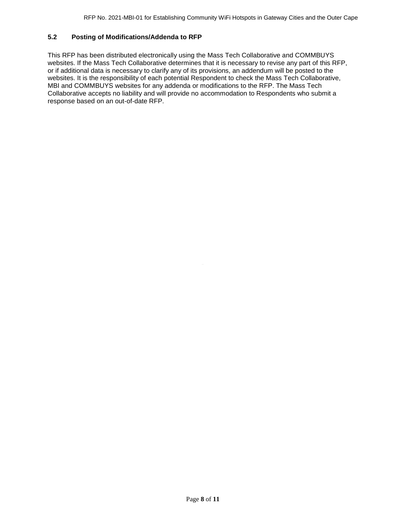## **5.2 Posting of Modifications/Addenda to RFP**

This RFP has been distributed electronically using the Mass Tech Collaborative and COMMBUYS websites. If the Mass Tech Collaborative determines that it is necessary to revise any part of this RFP, or if additional data is necessary to clarify any of its provisions, an addendum will be posted to the websites. It is the responsibility of each potential Respondent to check the Mass Tech Collaborative, MBI and COMMBUYS websites for any addenda or modifications to the RFP. The Mass Tech Collaborative accepts no liability and will provide no accommodation to Respondents who submit a response based on an out-of-date RFP.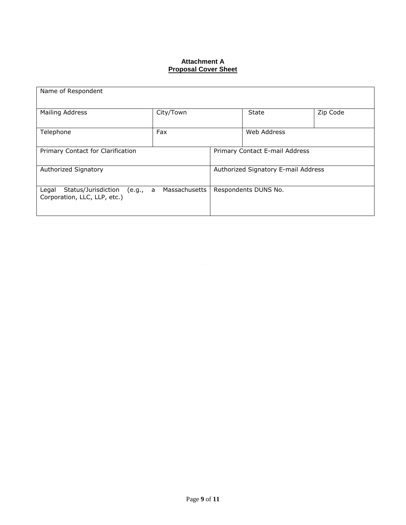# **Attachment A Proposal Cover Sheet**

| Name of Respondent                                                       |               |                                     |                                |          |  |  |
|--------------------------------------------------------------------------|---------------|-------------------------------------|--------------------------------|----------|--|--|
| Mailing Address                                                          | City/Town     |                                     | State                          | Zip Code |  |  |
| Telephone                                                                | Fax           |                                     | Web Address                    |          |  |  |
| Primary Contact for Clarification                                        |               |                                     | Primary Contact E-mail Address |          |  |  |
| Authorized Signatory                                                     |               | Authorized Signatory E-mail Address |                                |          |  |  |
| Status/Jurisdiction<br>Legal<br>(e.g., a<br>Corporation, LLC, LLP, etc.) | Massachusetts | Respondents DUNS No.                |                                |          |  |  |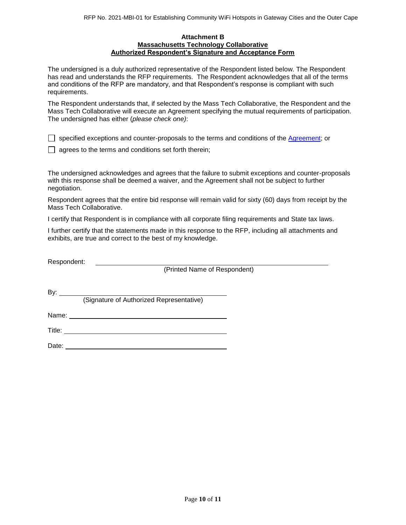#### **Attachment B Massachusetts Technology Collaborative Authorized Respondent's Signature and Acceptance Form**

The undersigned is a duly authorized representative of the Respondent listed below. The Respondent has read and understands the RFP requirements. The Respondent acknowledges that all of the terms and conditions of the RFP are mandatory, and that Respondent's response is compliant with such requirements.

The Respondent understands that, if selected by the Mass Tech Collaborative, the Respondent and the Mass Tech Collaborative will execute an Agreement specifying the mutual requirements of participation. The undersigned has either (*please check one)*:

 $\Box$  specified exceptions and counter-proposals to the terms and conditions of the  $\Diamond$ greement; or

 $\Box$  agrees to the terms and conditions set forth therein;

The undersigned acknowledges and agrees that the failure to submit exceptions and counter-proposals with this response shall be deemed a waiver, and the Agreement shall not be subject to further negotiation.

Respondent agrees that the entire bid response will remain valid for sixty (60) days from receipt by the Mass Tech Collaborative.

I certify that Respondent is in compliance with all corporate filing requirements and State tax laws.

I further certify that the statements made in this response to the RFP, including all attachments and exhibits, are true and correct to the best of my knowledge.

Respondent:

(Printed Name of Respondent)

By:  $\rule{1em}{0.15mm}$ (Signature of Authorized Representative)

Name: when the contract of the contract of the contract of the contract of the contract of the contract of the contract of the contract of the contract of the contract of the contract of the contract of the contract of the

Title:

Date: **Date: Date: Date: Date: Date: Date: Date: Date: Date: Date: Date: Date: Date: Date: Date: Date: Date: Date: Date: Date: Date: Date: Date: Date: Date: Date: Date:**